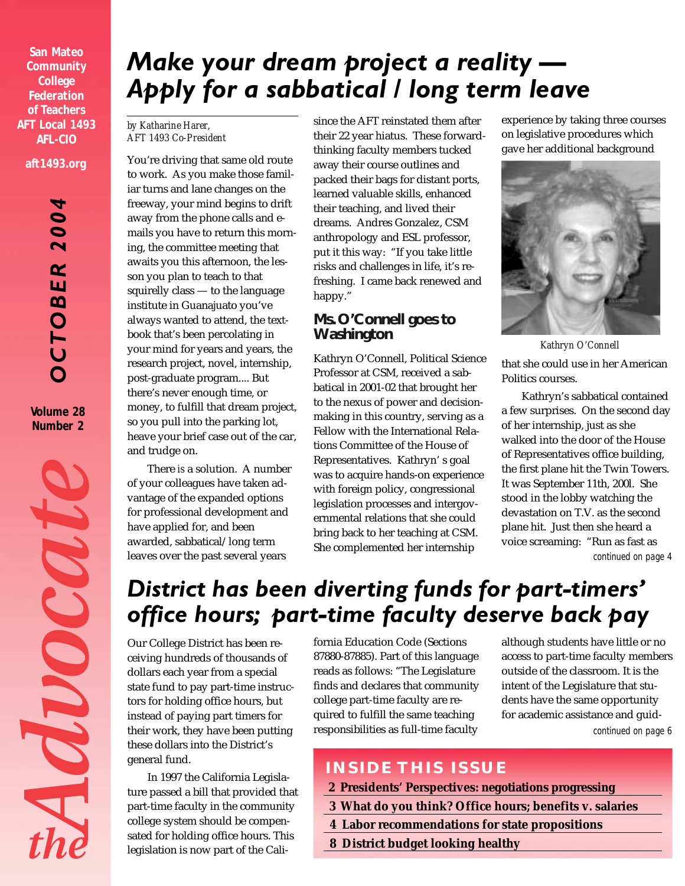**San Mateo Community College Federation of Teachers AFT Local 1493 AFL-CIO aft1493.org**

> *OCTOBER 2004*  $\ddot{\mathbf{o}}$  $\bar{\bullet}$  $\overline{\mathbf{N}}$ ER CTOB

**Volume 28 Number 2**

MOOCOUR

# *Make your dream project a reality — Apply for a sabbatical / long term leave*

#### *by Katharine Harer, AFT 1493 Co-President*

You're driving that same old route to work. As you make those familiar turns and lane changes on the freeway, your mind begins to drift away from the phone calls and emails you have to return this morning, the committee meeting that awaits you this afternoon, the lesson you plan to teach to that squirelly class — to the language institute in Guanajuato you've always wanted to attend, the textbook that's been percolating in your mind for years and years, the research project, novel, internship, post-graduate program.... But there's never enough time, or money, to fulfill that dream project, so you pull into the parking lot, heave your brief case out of the car, and trudge on.

There *is* a solution. A number of your colleagues have taken advantage of the expanded options for professional development and have applied for, and been awarded, sabbatical/long term leaves over the past several years

since the AFT reinstated them after their 22 year hiatus. These forwardthinking faculty members tucked away their course outlines and packed their bags for distant ports, learned valuable skills, enhanced their teaching, and lived their dreams. Andres Gonzalez, CSM anthropology and ESL professor, put it this way: "If you take little risks and challenges in life, it's refreshing. I came back renewed and happy."

#### **Ms. O'Connell goes to Washington**

Kathryn O'Connell, Political Science Professor at CSM, received a sabbatical in 2001-02 that brought her to the nexus of power and decisionmaking in this country, serving as a Fellow with the International Relations Committee of the House of Representatives. Kathryn' s goal was to acquire hands-on experience with foreign policy, congressional legislation processes and intergovernmental relations that she could bring back to her teaching at CSM. She complemented her internship

experience by taking three courses on legislative procedures which gave her additional background



*Kathryn O'Connell* that she could use in her American Politics courses.

*continued on page 4* Kathryn's sabbatical contained a few surprises. On the second day of her internship, just as she walked into the door of the House of Representatives office building, the first plane hit the Twin Towers. It was September 11th, 200l. She stood in the lobby watching the devastation on T.V. as the second plane hit. Just then she heard a voice screaming: "Run as fast as

# *District has been diverting funds for part-timers' office hours; part-time faculty deserve back pay*

Our College District has been receiving hundreds of thousands of dollars each year from a special state fund to pay part-time instructors for holding office hours, but instead of paying part timers for their work, they have been putting these dollars into the District's general fund.

In 1997 the California Legislature passed a bill that provided that part-time faculty in the community college system should be compensated for holding office hours. This legislation is now part of the California Education Code (Sections 87880-87885). Part of this language reads as follows: "The Legislature finds and declares that community college part-time faculty are required to fulfill the same teaching responsibilities as full-time faculty

although students have little or no access to part-time faculty members outside of the classroom. It is the intent of the Legislature that students have the same opportunity for academic assistance and guid*continued on page 6*

# **INSIDE THIS ISSUE**

- **2 Presidents' Perspectives: negotiations progressing**
- **3 What do you think? Office hours; benefits v. salaries**
- **4 Labor recommendations for state propositions**
- **8 District budget looking healthy**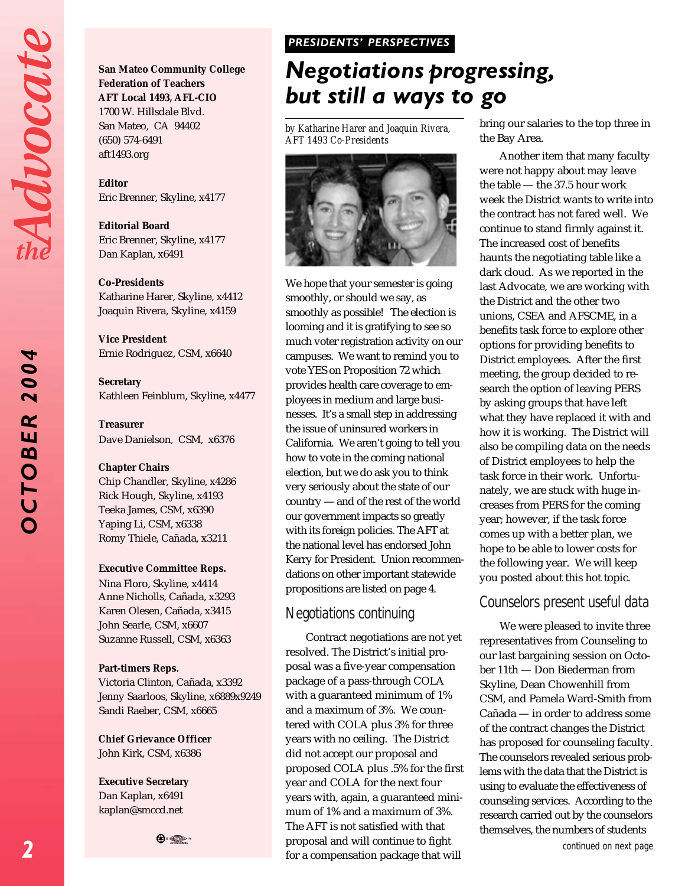Advocat

2004 *OCTOBER 2004* OCTOBER **San Mateo Community College Federation of Teachers AFT Local 1493, AFL-CIO** 1700 W. Hillsdale Blvd. San Mateo, CA 94402 (650) 574-6491 aft1493.org

**Editor** Eric Brenner, Skyline, x4177

**Editorial Board** Eric Brenner, Skyline, x4177 Dan Kaplan, x6491

**Co-Presidents**

Katharine Harer, Skyline, x4412 Joaquin Rivera, Skyline, x4159

**Vice President** Ernie Rodriguez, CSM, x6640

**Secretary** Kathleen Feinblum, Skyline, x4477

**Treasurer** Dave Danielson, CSM, x6376

#### **Chapter Chairs**

Chip Chandler, Skyline, x4286 Rick Hough, Skyline, x4193 Teeka James, CSM, x6390 Yaping Li, CSM, x6338 Romy Thiele, Cañada, x3211

#### **Executive Committee Reps.**

Nina Floro, Skyline, x4414 Anne Nicholls, Cañada, x3293 Karen Olesen, Cañada, x3415 John Searle, CSM, x6607 Suzanne Russell, CSM, x6363

#### **Part-timers Reps.**

Victoria Clinton, Cañada, x3392 Jenny Saarloos, Skyline, x6889x9249 Sandi Raeber, CSM, x6665

**Chief Grievance Officer** John Kirk, CSM, x6386

**Executive Secretary** Dan Kaplan, x6491 kaplan@smccd.net



#### *PRESIDENTS' PERSPECTIVES PRESIDENTS' PERSPECTIVES*

# *Negotiations progressing, but still a ways to go*

*by Katharine Harer and Joaquin Rivera, AFT 1493 Co-Presidents*



We hope that your semester is going smoothly, or should we say, as smoothly as possible! The election is looming and it is gratifying to see so much voter registration activity on our campuses. We want to remind you to vote YES on Proposition 72 which provides health care coverage to employees in medium and large businesses. It's a small step in addressing the issue of uninsured workers in California. We aren't going to tell you how to vote in the coming national election, but we do ask you to think very seriously about the state of our country — and of the rest of the world our government impacts so greatly with its foreign policies. The AFT at the national level has endorsed John Kerry for President. Union recommendations on other important statewide propositions are listed on page 4.

### *Negotiations continuing*

Contract negotiations are not yet resolved. The District's initial proposal was a five-year compensation package of a pass-through COLA with a guaranteed minimum of 1% and a maximum of 3%. We countered with COLA plus 3% for three years with no ceiling. The District did not accept our proposal and proposed COLA plus .5% for the first year and COLA for the next four years with, again, a guaranteed minimum of 1% and a maximum of 3%. The AFT is not satisfied with that proposal and will continue to fight for a compensation package that will

bring our salaries to the top three in the Bay Area.

Another item that many faculty were not happy about may leave the table — the 37.5 hour work week the District wants to write into the contract has not fared well. We continue to stand firmly against it. The increased cost of benefits haunts the negotiating table like a dark cloud. As we reported in the last Advocate, we are working with the District and the other two unions, CSEA and AFSCME, in a benefits task force to explore other options for providing benefits to District employees. After the first meeting, the group decided to research the option of leaving PERS by asking groups that have left what they have replaced it with and how it is working. The District will also be compiling data on the needs of District employees to help the task force in their work. Unfortunately, we are stuck with huge increases from PERS for the coming year; however, if the task force comes up with a better plan, we hope to be able to lower costs for the following year. We will keep you posted about this hot topic.

### *Counselors present useful data*

We were pleased to invite three representatives from Counseling to our last bargaining session on October 11th — Don Biederman from Skyline, Dean Chowenhill from CSM, and Pamela Ward-Smith from Cañada — in order to address some of the contract changes the District has proposed for counseling faculty. The counselors revealed serious problems with the data that the District is using to evaluate the effectiveness of counseling services. According to the research carried out by the counselors themselves, the numbers of students

*continued on next page*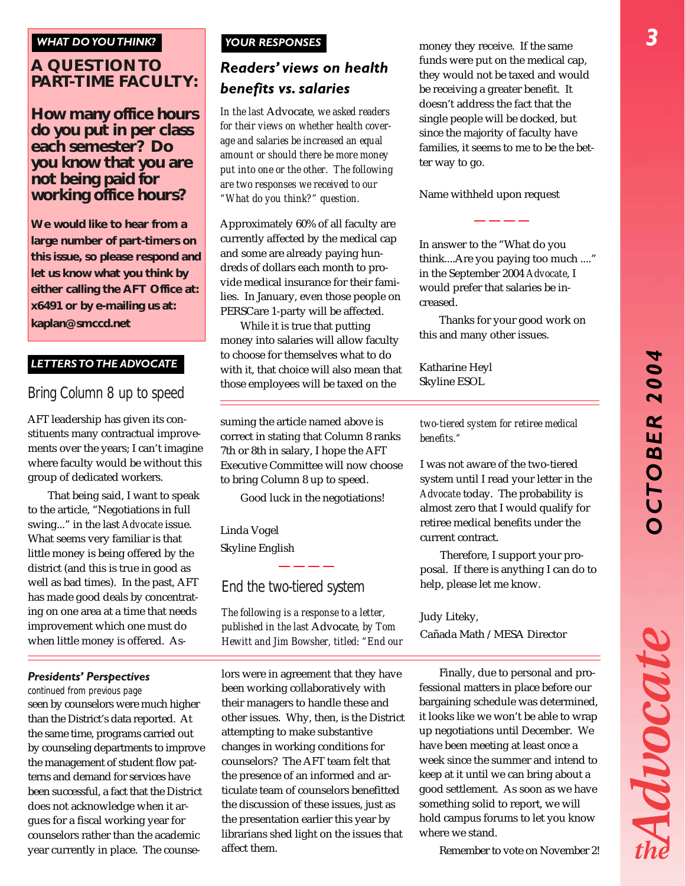#### *WHAT DO YOU THINK?*

### **A QUESTION TO PART-TIME FACULTY:**

#### **How many office hours do you put in per class each semester? Do you know that you are not being paid for working office hours?**

**We would like to hear from a large number of part-timers on this issue, so please respond and let us know what you think by either calling the AFT Office at: x6491 or by e-mailing us at: kaplan@smccd.net**

#### *LETTERS TO THE ADVOCATE*

# *Bring Column 8 up to speed*

AFT leadership has given its constituents many contractual improvements over the years; I can't imagine where faculty would be without this group of dedicated workers.

That being said, I want to speak to the article, "Negotiations in full swing..." in the last *Advocate* issue. What seems very familiar is that little money is being offered by the district (and this is true in good as well as bad times). In the past, AFT has made good deals by concentrating on one area at a time that needs improvement which one must do when little money is offered. As-

#### *Presidents' Perspectives*

*continued from previous page* seen by counselors were much higher than the District's data reported. At the same time, programs carried out by counseling departments to improve the management of student flow patterns and demand for services have been successful, a fact that the District does not acknowledge when it argues for a fiscal working year for counselors rather than the academic year currently in place. The counse-

#### *YOUR RESPONSES*

# *Readers' views on health benefits vs. salaries*

*In the last* Advocate*, we asked readers for their views on whether health coverage and salaries be increased an equal amount or should there be more money put into one or the other. The following are two responses we received to our "What do you think?" question.*

Approximately 60% of all faculty are currently affected by the medical cap and some are already paying hundreds of dollars each month to provide medical insurance for their families. In January, even those people on PERSCare 1-party will be affected.

While it is true that putting money into salaries will allow faculty to choose for themselves what to do with it, that choice will also mean that those employees will be taxed on the

suming the article named above is correct in stating that Column 8 ranks 7th or 8th in salary, I hope the AFT Executive Committee will now choose to bring Column 8 up to speed.

Good luck in the negotiations!

Linda Vogel Skyline English

#### *End the two-tiered system*

*The following is a response to a letter, published in the last* Advocate*, by Tom Hewitt and Jim Bowsher, titled: "End our*

lors were in agreement that they have been working collaboratively with their managers to handle these and other issues. Why, then, is the District attempting to make substantive changes in working conditions for counselors? The AFT team felt that the presence of an informed and articulate team of counselors benefitted the discussion of these issues, just as the presentation earlier this year by librarians shed light on the issues that affect them.

money they receive. If the same funds were put on the medical cap, they would not be taxed and would be receiving a greater benefit. It doesn't address the fact that the single people will be docked, but since the majority of faculty have families, it seems to me to be the better way to go.

#### Name withheld upon request

In answer to the "What do you think....Are you paying too much ...." in the September 2004 *Advocate*, I would prefer that salaries be increased.

Thanks for your good work on this and many other issues.

Katharine Heyl Skyline ESOL

#### *two-tiered system for retiree medical benefits."*

I was not aware of the two-tiered system until I read your letter in the *Advocate* today. The probability is almost zero that I would qualify for retiree medical benefits under the current contract.

Therefore, I support your proposal. If there is anything I can do to help, please let me know.

#### Judy Liteky,

Cañada Math /MESA Director

Finally, due to personal and professional matters in place before our bargaining schedule was determined, it looks like we won't be able to wrap up negotiations until December. We have been meeting at least once a week since the summer and intend to keep at it until we can bring about a good settlement. As soon as we have something solid to report, we will hold campus forums to let you know where we stand.

Remember to vote on November 2!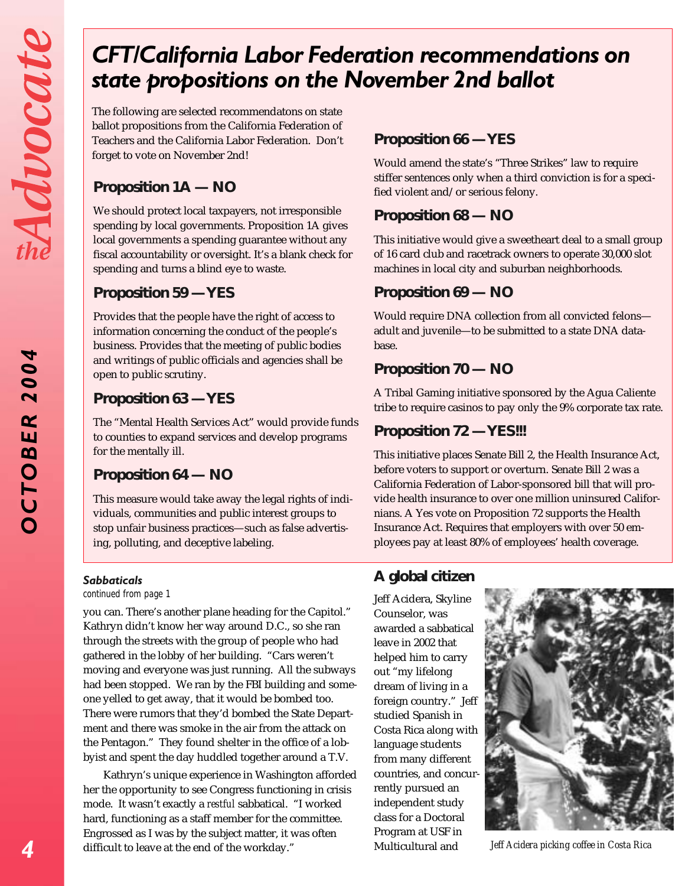*OCTOBER 2004*

OCTOBER

2004

# *CFT/California Labor Federation recommendations on state propositions on the November 2nd ballot*

The following are selected recommendatons on state ballot propositions from the California Federation of Teachers and the California Labor Federation. Don't forget to vote on November 2nd!

# **Proposition 1A — NO**

We should protect local taxpayers, not irresponsible spending by local governments. Proposition 1A gives local governments a spending guarantee without any fiscal accountability or oversight. It's a blank check for spending and turns a blind eye to waste.

### **Proposition 59 — YES**

Provides that the people have the right of access to information concerning the conduct of the people's business. Provides that the meeting of public bodies and writings of public officials and agencies shall be open to public scrutiny.

# **Proposition 63 — YES**

The "Mental Health Services Act" would provide funds to counties to expand services and develop programs for the mentally ill.

### **Proposition 64 — NO**

This measure would take away the legal rights of individuals, communities and public interest groups to stop unfair business practices—such as false advertising, polluting, and deceptive labeling.

#### *Sabbaticals*

*continued from page 1*

you can. There's another plane heading for the Capitol." Kathryn didn't know her way around D.C., so she ran through the streets with the group of people who had gathered in the lobby of her building. "Cars weren't moving and everyone was just running. All the subways had been stopped. We ran by the FBI building and someone yelled to get away, that it would be bombed too. There were rumors that they'd bombed the State Department and there was smoke in the air from the attack on the Pentagon." They found shelter in the office of a lobbyist and spent the day huddled together around a T.V.

Kathryn's unique experience in Washington afforded her the opportunity to see Congress functioning in crisis mode. It wasn't exactly a *restful* sabbatical. "I worked hard, functioning as a staff member for the committee. Engrossed as I was by the subject matter, it was often difficult to leave at the end of the workday."

# **Proposition 66 — YES**

Would amend the state's "Three Strikes" law to require stiffer sentences only when a third conviction is for a specified violent and/or serious felony.

# **Proposition 68 — NO**

This initiative would give a sweetheart deal to a small group of 16 card club and racetrack owners to operate 30,000 slot machines in local city and suburban neighborhoods.

# **Proposition 69 — NO**

Would require DNA collection from all convicted felons adult and juvenile—to be submitted to a state DNA database.

# **Proposition 70 — NO**

A Tribal Gaming initiative sponsored by the Agua Caliente tribe to require casinos to pay only the 9% corporate tax rate.

# **Proposition 72 — YES!!!**

This initiative places Senate Bill 2, the Health Insurance Act, before voters to support or overturn. Senate Bill 2 was a California Federation of Labor-sponsored bill that will provide health insurance to over one million uninsured Californians. A Yes vote on Proposition 72 supports the Health Insurance Act. Requires that employers with over 50 employees pay at least 80% of employees' health coverage.

# **A global citizen**

Jeff Acidera, Skyline Counselor, was awarded a sabbatical leave in 2002 that helped him to carry out "my lifelong dream of living in a foreign country." Jeff studied Spanish in Costa Rica along with language students from many different countries, and concurrently pursued an independent study class for a Doctoral Program at USF in Multicultural and



*Jeff Acidera picking coffee in Costa Rica*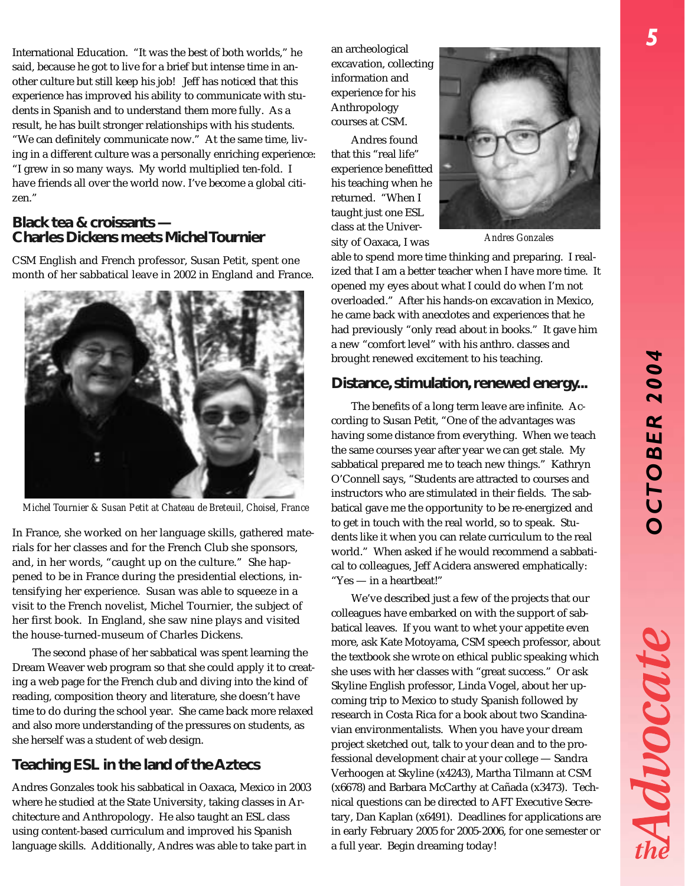Advocat

International Education. "It was the best of both worlds," he said, because he got to live for a brief but intense time in another culture but still keep his job! Jeff has noticed that this experience has improved his ability to communicate with students in Spanish and to understand them more fully. As a result, he has built stronger relationships with his students. "We can definitely communicate now." At the same time, living in a different culture was a personally enriching experience: "I grew in so many ways. My world multiplied ten-fold. I have friends all over the world now. I've become a global citizen."

#### **Black tea & croissants — Charles Dickens meets Michel Tournier**

CSM English and French professor, Susan Petit, spent one month of her sabbatical leave in 2002 in England and France.



*Michel Tournier & Susan Petit at Chateau de Breteuil, Choisel, France*

In France, she worked on her language skills, gathered materials for her classes and for the French Club she sponsors, and, in her words, "caught up on the culture." She happened to be in France during the presidential elections, intensifying her experience. Susan was able to squeeze in a visit to the French novelist, Michel Tournier, the subject of her first book. In England, she saw nine plays and visited the house-turned-museum of Charles Dickens.

The second phase of her sabbatical was spent learning the Dream Weaver web program so that she could apply it to creating a web page for the French club and diving into the kind of reading, composition theory and literature, she doesn't have time to do during the school year. She came back more relaxed and also more understanding of the pressures on students, as she herself was a student of web design.

# **Teaching ESL in the land of the Aztecs**

Andres Gonzales took his sabbatical in Oaxaca, Mexico in 2003 where he studied at the State University, taking classes in Architecture and Anthropology. He also taught an ESL class using content-based curriculum and improved his Spanish language skills. Additionally, Andres was able to take part in

an archeological excavation, collecting information and experience for his Anthropology courses at CSM.

Andres found that this "real life" experience benefitted his teaching when he returned. "When I taught just one ESL class at the University of Oaxaca, I was



*Andres Gonzales*

able to spend more time thinking and preparing. I realized that I am a better teacher when I have more time. It opened my eyes about what I could do when I'm not overloaded." After his hands-on excavation in Mexico, he came back with anecdotes and experiences that he had previously "only read about in books." It gave him a new "comfort level" with his anthro. classes and brought renewed excitement to his teaching.

#### **Distance, stimulation, renewed energy...**

The benefits of a long term leave are infinite. According to Susan Petit, "One of the advantages was having some distance from everything. When we teach the same courses year after year we can get stale. My sabbatical prepared me to teach new things." Kathryn O'Connell says, "Students are attracted to courses and instructors who are stimulated in their fields. The sabbatical gave me the opportunity to be re-energized and to get in touch with the real world, so to speak. Students like it when you can relate curriculum to the real world." When asked if he would recommend a sabbatical to colleagues, Jeff Acidera answered emphatically: "Yes — in a heartbeat!"

We've described just a few of the projects that our colleagues have embarked on with the support of sabbatical leaves. If you want to whet your appetite even more, ask Kate Motoyama, CSM speech professor, about the textbook she wrote on ethical public speaking which she uses with her classes with "great success." Or ask Skyline English professor, Linda Vogel, about her upcoming trip to Mexico to study Spanish followed by research in Costa Rica for a book about two Scandinavian environmentalists. When you have your dream project sketched out, talk to your dean and to the professional development chair at your college — Sandra Verhoogen at Skyline (x4243), Martha Tilmann at CSM (x6678) and Barbara McCarthy at Cañada (x3473). Technical questions can be directed to AFT Executive Secretary, Dan Kaplan (x6491). Deadlines for applications are in early February 2005 for 2005-2006, for one semester or a full year. Begin dreaming today!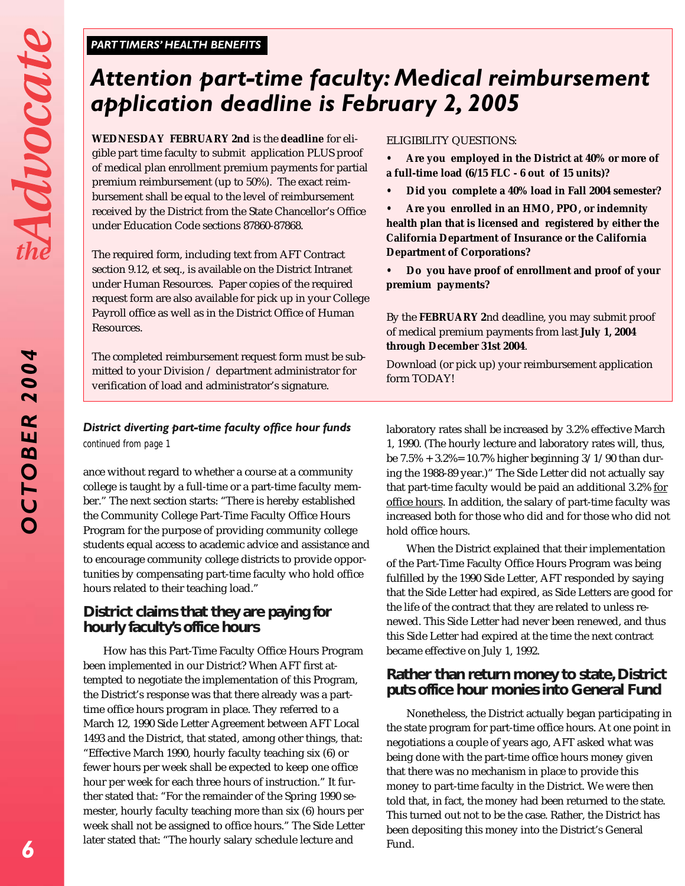*OCTOBER 2004*

OCTOBER

2004

#### *PARTTIMERS' HEALTH BENEFITS*

# *Attention part-time faculty: Medical reimbursement application deadline is February 2, 2005*

**WEDNESDAY FEBRUARY 2nd** is the **deadline** for eligible part time faculty to submit application PLUS proof of medical plan enrollment premium payments for partial premium reimbursement (up to 50%). The exact reimbursement shall be equal to the level of reimbursement received by the District from the State Chancellor's Office under Education Code sections 87860-87868.

The required form, including text from AFT Contract section 9.12, et seq., is available on the District Intranet under Human Resources. Paper copies of the required request form are also available for pick up in your College Payroll office as well as in the District Office of Human Resources.

The completed reimbursement request form must be submitted to your Division / department administrator for verification of load and administrator's signature.

#### ELIGIBILITY QUESTIONS:

- **• Are you employed in the District at 40% or more of a full-time load (6/15 FLC - 6 out of 15 units)?**
- **• Did you complete a 40% load in Fall 2004 semester?**
- **• Are you enrolled in an HMO, PPO, or indemnity health plan that is licensed and registered by either the California Department of Insurance or the California Department of Corporations?**
- **• Do you have proof of enrollment and proof of your premium payments?**

By the **FEBRUARY 2**nd deadline, you may submit proof of medical premium payments from last **July 1, 2004 through December 31st 2004**.

Download (or pick up) your reimbursement application form TODAY!

#### *District diverting part-time faculty office hour funds continued from page 1*

ance without regard to whether a course at a community college is taught by a full-time or a part-time faculty member." The next section starts: "There is hereby established the Community College Part-Time Faculty Office Hours Program for the purpose of providing community college students equal access to academic advice and assistance and to encourage community college districts to provide opportunities by compensating part-time faculty who hold office hours related to their teaching load."

#### **District claims that they are paying for hourly faculty's office hours**

How has this Part-Time Faculty Office Hours Program been implemented in our District? When AFT first attempted to negotiate the implementation of this Program, the District's response was that there already was a parttime office hours program in place. They referred to a March 12, 1990 Side Letter Agreement between AFT Local 1493 and the District, that stated, among other things, that: "Effective March 1990, hourly faculty teaching six (6) or fewer hours per week shall be expected to keep one office hour per week for each three hours of instruction." It further stated that: "For the remainder of the Spring 1990 semester, hourly faculty teaching more than six (6) hours per week shall not be assigned to office hours." The Side Letter later stated that: "The hourly salary schedule lecture and

laboratory rates shall be increased by 3.2% effective March 1, 1990. (The hourly lecture and laboratory rates will, thus, be  $7.5\% + 3.2\% = 10.7\%$  higher beginning  $3/1/90$  than during the 1988-89 year.)" The Side Letter did not actually say that part-time faculty would be paid an additional 3.2% for office hours. In addition, the salary of part-time faculty was increased both for those who did and for those who did not hold office hours.

When the District explained that their implementation of the Part-Time Faculty Office Hours Program was being fulfilled by the 1990 Side Letter, AFT responded by saying that the Side Letter had expired, as Side Letters are good for the life of the contract that they are related to unless renewed. This Side Letter had never been renewed, and thus this Side Letter had expired at the time the next contract became effective on July 1, 1992.

#### **Rather than return money to state, District puts office hour monies into General Fund**

Nonetheless, the District actually began participating in the state program for part-time office hours. At one point in negotiations a couple of years ago, AFT asked what was being done with the part-time office hours money given that there was no mechanism in place to provide this money to part-time faculty in the District. We were then told that, in fact, the money had been returned to the state. This turned out not to be the case. Rather, the District has been depositing this money into the District's General Fund.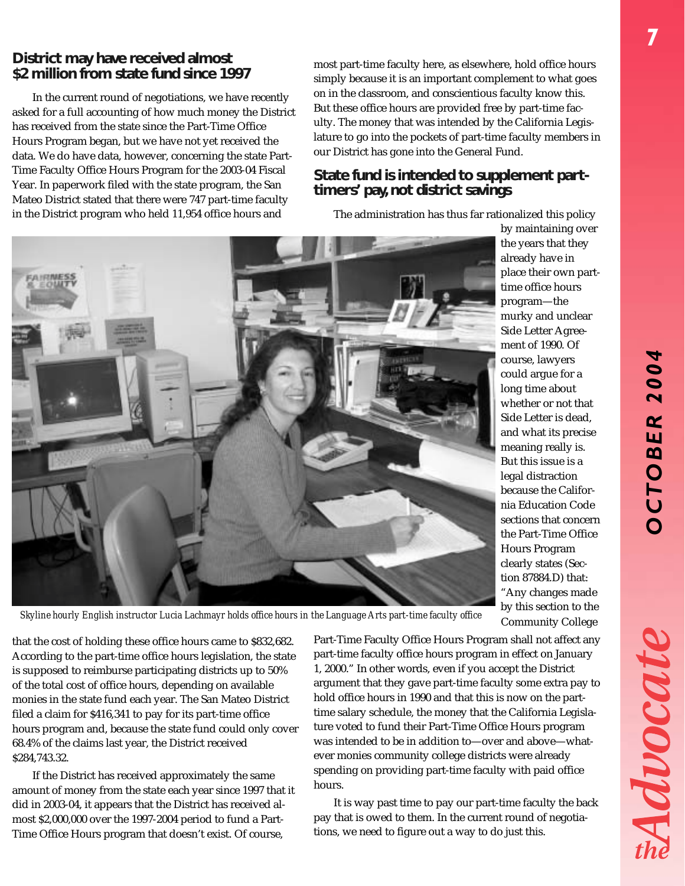### **District may have received almost \$2 million from state fund since 1997**

In the current round of negotiations, we have recently asked for a full accounting of how much money the District has received from the state since the Part-Time Office Hours Program began, but we have not yet received the data. We do have data, however, concerning the state Part-Time Faculty Office Hours Program for the 2003-04 Fiscal Year. In paperwork filed with the state program, the San Mateo District stated that there were 747 part-time faculty in the District program who held 11,954 office hours and

most part-time faculty here, as elsewhere, hold office hours simply because it is an important complement to what goes on in the classroom, and conscientious faculty know this. But these office hours are provided free by part-time faculty. The money that was intended by the California Legislature to go into the pockets of part-time faculty members in our District has gone into the General Fund.

# **State fund is intended to supplement parttimers' pay, not district savings**

The administration has thus far rationalized this policy



place their own parttime office hours program—the murky and unclear Side Letter Agreement of 1990. Of course, lawyers could argue for a long time about whether or not that Side Letter is dead, and what its precise meaning really is. But this issue is a legal distraction because the California Education Code sections that concern the Part-Time Office Hours Program clearly states (Section 87884.D) that: "Any changes made Community College

by this section to the *Skyline hourly English instructor Lucia Lachmayr holds office hours in the Language Arts part-time faculty office*

that the cost of holding these office hours came to \$832,682. According to the part-time office hours legislation, the state is supposed to reimburse participating districts up to 50% of the total cost of office hours, depending on available monies in the state fund each year. The San Mateo District filed a claim for \$416,341 to pay for its part-time office hours program and, because the state fund could only cover 68.4% of the claims last year, the District received \$284,743.32.

If the District has received approximately the same amount of money from the state each year since 1997 that it did in 2003-04, it appears that the District has received almost \$2,000,000 over the 1997-2004 period to fund a Part-Time Office Hours program that doesn't exist. Of course,

Part-Time Faculty Office Hours Program shall not affect any part-time faculty office hours program in effect on January 1, 2000." In other words, even if you accept the District argument that they gave part-time faculty some extra pay to hold office hours in 1990 and that this is now on the parttime salary schedule, the money that the California Legislature voted to fund their Part-Time Office Hours program was intended to be in addition to—over and above—whatever monies community college districts were already spending on providing part-time faculty with paid office hours.

It is way past time to pay our part-time faculty the back pay that is owed to them. In the current round of negotiations, we need to figure out a way to do just this.